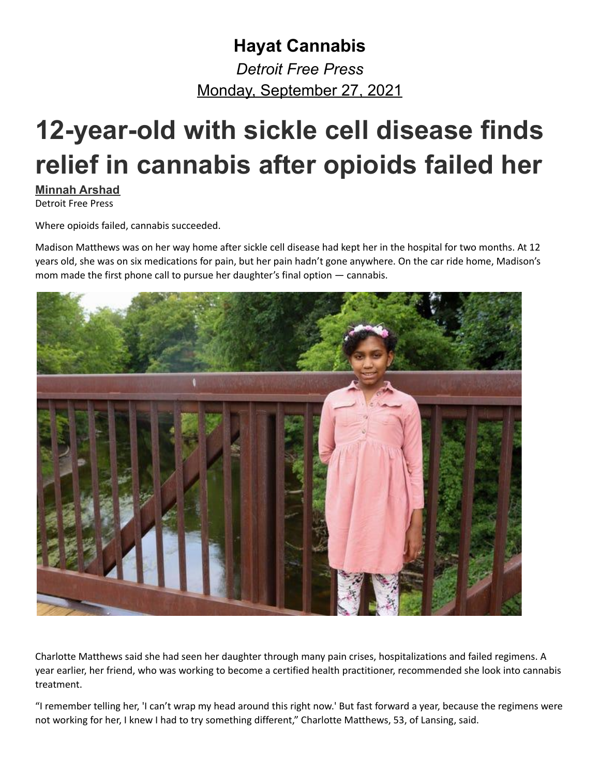## **Hayat Cannabis** *Detroit Free Press* Monday, September 27, 2021

## **12-year-old with sickle cell disease finds relief in cannabis after opioids failed her**

**[Minnah Arshad](https://www.freep.com/staff/6701939002/minnah-arshad/)**

Detroit Free Press

Where opioids failed, cannabis succeeded.

Madison Matthews was on her way home after sickle cell disease had kept her in the hospital for two months. At 12 years old, she was on six medications for pain, but her pain hadn't gone anywhere. On the car ride home, Madison's mom made the first phone call to pursue her daughter's final option — cannabis.



Charlotte Matthews said she had seen her daughter through many pain crises, hospitalizations and failed regimens. A year earlier, her friend, who was working to become a certified health practitioner, recommended she look into cannabis treatment.

"I remember telling her, 'I can't wrap my head around this right now.' But fast forward a year, because the regimens were not working for her, I knew I had to try something different," Charlotte Matthews, 53, of Lansing, said.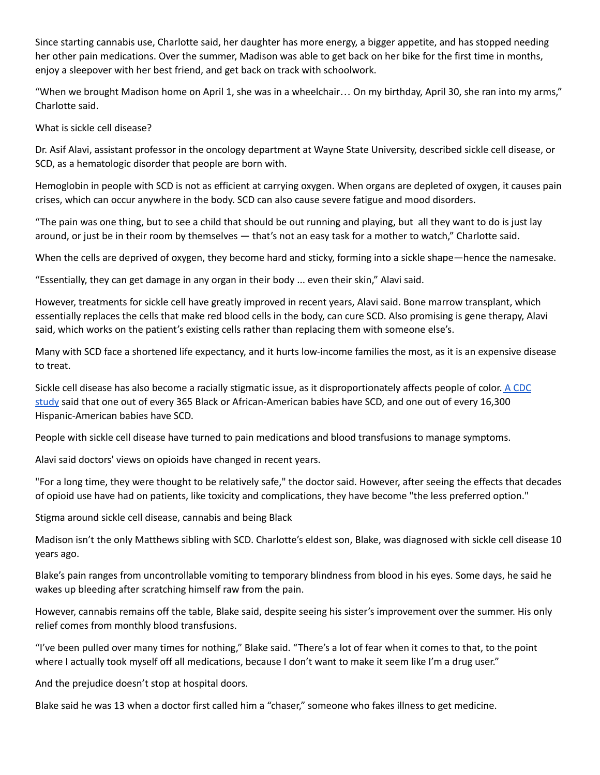Since starting cannabis use, Charlotte said, her daughter has more energy, a bigger appetite, and has stopped needing her other pain medications. Over the summer, Madison was able to get back on her bike for the first time in months, enjoy a sleepover with her best friend, and get back on track with schoolwork.

"When we brought Madison home on April 1, she was in a wheelchair… On my birthday, April 30, she ran into my arms," Charlotte said.

What is sickle cell disease?

Dr. Asif Alavi, assistant professor in the oncology department at Wayne State University, described sickle cell disease, or SCD, as a hematologic disorder that people are born with.

Hemoglobin in people with SCD is not as efficient at carrying oxygen. When organs are depleted of oxygen, it causes pain crises, which can occur anywhere in the body. SCD can also cause severe fatigue and mood disorders.

"The pain was one thing, but to see a child that should be out running and playing, but all they want to do is just lay around, or just be in their room by themselves — that's not an easy task for a mother to watch," Charlotte said.

When the cells are deprived of oxygen, they become hard and sticky, forming into a sickle shape—hence the namesake.

"Essentially, they can get damage in any organ in their body ... even their skin," Alavi said.

However, treatments for sickle cell have greatly improved in recent years, Alavi said. Bone marrow transplant, which essentially replaces the cells that make red blood cells in the body, can cure SCD. Also promising is gene therapy, Alavi said, which works on the patient's existing cells rather than replacing them with someone else's.

Many with SCD face a shortened life expectancy, and it hurts low-income families the most, as it is an expensive disease to treat.

Sickle cell disease has also become a racially stigmatic issue, as it disproportionately affects people of color. A [CDC](https://www.cdc.gov/ncbddd/sicklecell/data.html) [study](https://www.cdc.gov/ncbddd/sicklecell/data.html) said that one out of every 365 Black or African-American babies have SCD, and one out of every 16,300 Hispanic-American babies have SCD.

People with sickle cell disease have turned to pain medications and blood transfusions to manage symptoms.

Alavi said doctors' views on opioids have changed in recent years.

"For a long time, they were thought to be relatively safe," the doctor said. However, after seeing the effects that decades of opioid use have had on patients, like toxicity and complications, they have become "the less preferred option."

Stigma around sickle cell disease, cannabis and being Black

Madison isn't the only Matthews sibling with SCD. Charlotte's eldest son, Blake, was diagnosed with sickle cell disease 10 years ago.

Blake's pain ranges from uncontrollable vomiting to temporary blindness from blood in his eyes. Some days, he said he wakes up bleeding after scratching himself raw from the pain.

However, cannabis remains off the table, Blake said, despite seeing his sister's improvement over the summer. His only relief comes from monthly blood transfusions.

"I've been pulled over many times for nothing," Blake said. "There's a lot of fear when it comes to that, to the point where I actually took myself off all medications, because I don't want to make it seem like I'm a drug user."

And the prejudice doesn't stop at hospital doors.

Blake said he was 13 when a doctor first called him a "chaser," someone who fakes illness to get medicine.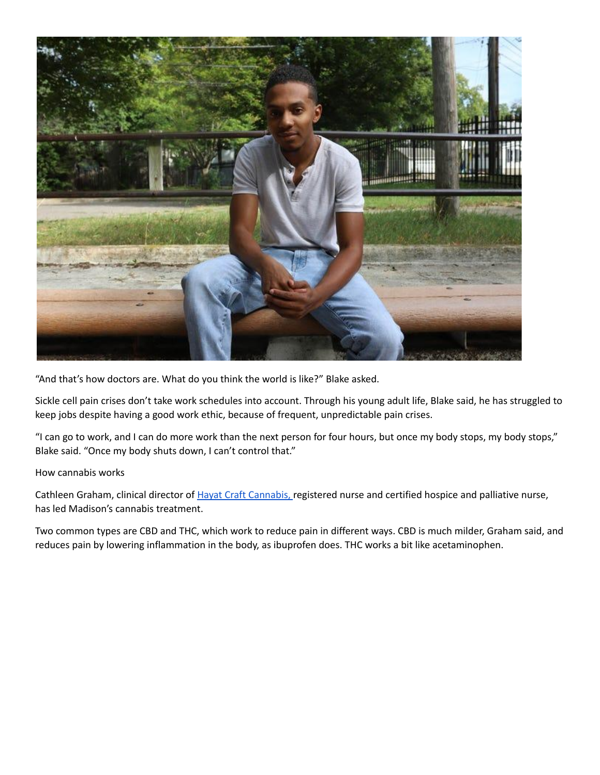

"And that's how doctors are. What do you think the world is like?" Blake asked.

Sickle cell pain crises don't take work schedules into account. Through his young adult life, Blake said, he has struggled to keep jobs despite having a good work ethic, because of frequent, unpredictable pain crises.

"I can go to work, and I can do more work than the next person for four hours, but once my body stops, my body stops," Blake said. "Once my body shuts down, I can't control that."

## How cannabis works

Cathleen Graham, clinical director of *Hayat Craft Cannabis*, registered nurse and certified hospice and palliative nurse, has led Madison's cannabis treatment.

Two common types are CBD and THC, which work to reduce pain in different ways. CBD is much milder, Graham said, and reduces pain by lowering inflammation in the body, as ibuprofen does. THC works a bit like acetaminophen.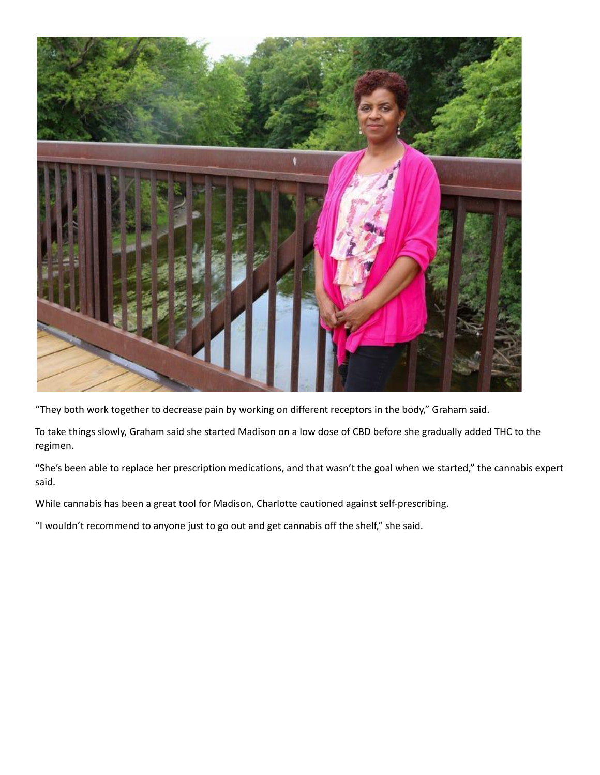

"They both work together to decrease pain by working on different receptors in the body," Graham said.

To take things slowly, Graham said she started Madison on a low dose of CBD before she gradually added THC to the regimen.

"She's been able to replace her prescription medications, and that wasn't the goal when we started," the cannabis expert said.

While cannabis has been a great tool for Madison, Charlotte cautioned against self-prescribing.

"I wouldn't recommend to anyone just to go out and get cannabis off the shelf," she said.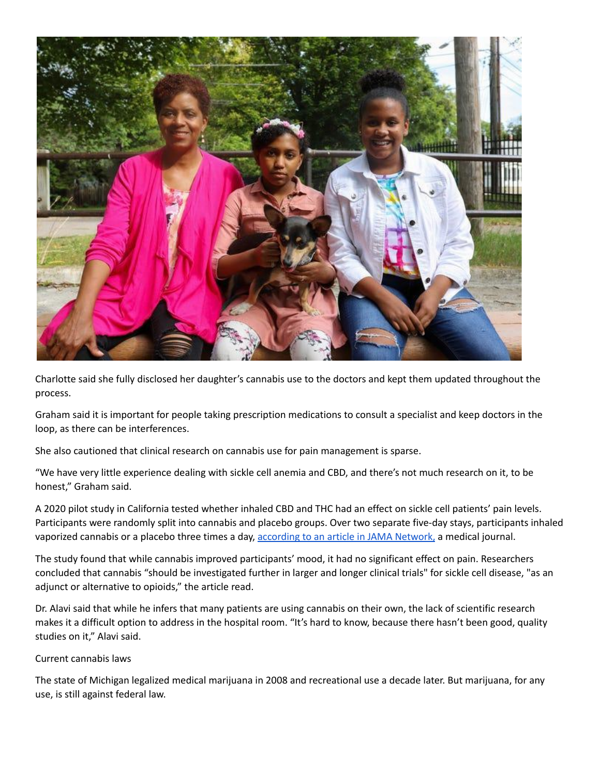

Charlotte said she fully disclosed her daughter's cannabis use to the doctors and kept them updated throughout the process.

Graham said it is important for people taking prescription medications to consult a specialist and keep doctors in the loop, as there can be interferences.

She also cautioned that clinical research on cannabis use for pain management is sparse.

"We have very little experience dealing with sickle cell anemia and CBD, and there's not much research on it, to be honest," Graham said.

A 2020 pilot study in California tested whether inhaled CBD and THC had an effect on sickle cell patients' pain levels. Participants were randomly split into cannabis and placebo groups. Over two separate five-day stays, participants inhaled vaporized cannabis or a placebo three times a day, [according](https://jamanetwork.com/journals/jamanetworkopen/fullarticle/2768349) to an article in JAMA Network, a medical journal.

The study found that while cannabis improved participants' mood, it had no significant effect on pain. Researchers concluded that cannabis "should be investigated further in larger and longer clinical trials" for sickle cell disease, "as an adjunct or alternative to opioids," the article read.

Dr. Alavi said that while he infers that many patients are using cannabis on their own, the lack of scientific research makes it a difficult option to address in the hospital room. "It's hard to know, because there hasn't been good, quality studies on it," Alavi said.

## Current cannabis laws

The state of Michigan legalized medical marijuana in 2008 and recreational use a decade later. But marijuana, for any use, is still against federal law.